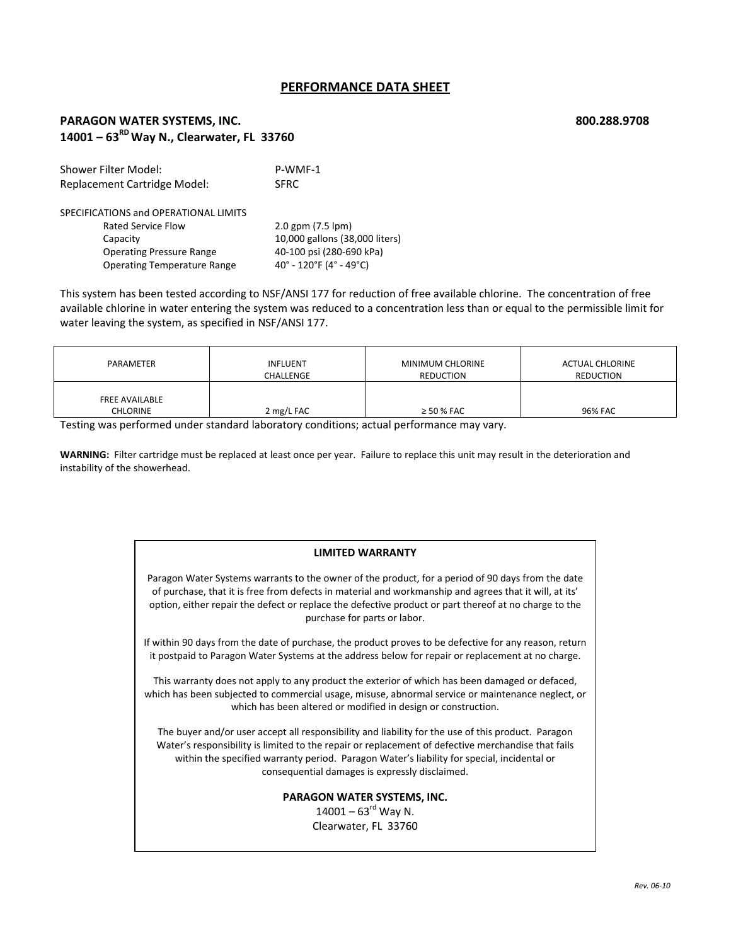# **PERFORMANCE DATA SHEET**

### **PARAGON WATER SYSTEMS, INC. 800.288.9708 14001 – 63RDWay N., Clearwater, FL 33760**

Shower Filter Model: P-WMF-1 Replacement Cartridge Model: SFRC SPECIFICATIONS and OPERATIONAL LIMITS Rated Service Flow 2.0 gpm (7.5 lpm) Capacity **Capacity 10,000 gallons** (38,000 liters) Operating Pressure Range 40‐100 psi (280‐690 kPa) Operating Temperature Range 40° - 120°F (4° - 49°C)

This system has been tested according to NSF/ANSI 177 for reduction of free available chlorine. The concentration of free available chlorine in water entering the system was reduced to a concentration less than or equal to the permissible limit for water leaving the system, as specified in NSF/ANSI 177.

| PARAMETER                                | <b>INFLUENT</b> | MINIMUM CHLORINE | <b>ACTUAL CHLORINE</b> |
|------------------------------------------|-----------------|------------------|------------------------|
|                                          | CHALLENGE       | <b>REDUCTION</b> | <b>REDUCTION</b>       |
| <b>FREE AVAILABLE</b><br><b>CHLORINE</b> | 2 mg/L FAC      | $\geq$ 50 % FAC  | 96% FAC                |

Testing was performed under standard laboratory conditions; actual performance may vary.

**WARNING:** Filter cartridge must be replaced at least once per year. Failure to replace this unit may result in the deterioration and instability of the showerhead.

#### **LIMITED WARRANTY**

Paragon Water Systems warrants to the owner of the product, for a period of 90 days from the date of purchase, that it is free from defects in material and workmanship and agrees that it will, at its' option, either repair the defect or replace the defective product or part thereof at no charge to the purchase for parts or labor.

If within 90 days from the date of purchase, the product proves to be defective for any reason, return it postpaid to Paragon Water Systems at the address below for repair or replacement at no charge.

This warranty does not apply to any product the exterior of which has been damaged or defaced, which has been subjected to commercial usage, misuse, abnormal service or maintenance neglect, or which has been altered or modified in design or construction.

The buyer and/or user accept all responsibility and liability for the use of this product. Paragon Water's responsibility is limited to the repair or replacement of defective merchandise that fails within the specified warranty period. Paragon Water's liability for special, incidental or consequential damages is expressly disclaimed.

### **PARAGON WATER SYSTEMS, INC.**

 $14001 - 63^{rd}$  Way N. Clearwater, FL 33760